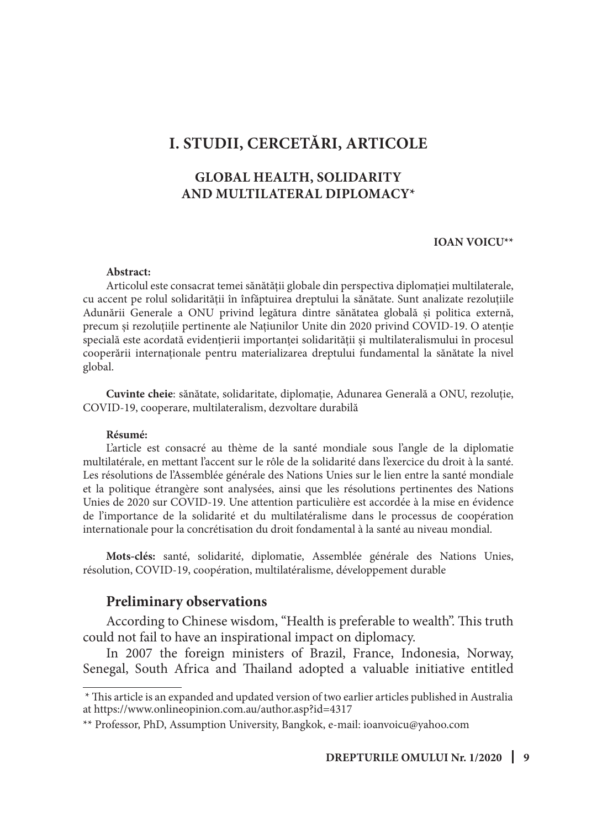# **I. STUDII, CERCETĂRI, ARTICOLE**

### **GLOBAL HEALTH, SOLIDARITY AND MULTILATERAL DIPLOMACY\***

#### **IOAN VOICU\*\***

#### **Abstract:**

Articolul este consacrat temei sănătății globale din perspectiva diplomației multilaterale, cu accent pe rolul solidarității în înfăptuirea dreptului la sănătate. Sunt analizate rezoluțiile Adunării Generale a ONU privind legătura dintre sănătatea globală și politica externă, precum și rezoluțiile pertinente ale Națiunilor Unite din 2020 privind COVID-19. O atenție specială este acordată evidențierii importanței solidarității și multilateralismului în procesul cooperării internaționale pentru materializarea dreptului fundamental la sănătate la nivel global.

**Cuvinte cheie**: sănătate, solidaritate, diplomație, Adunarea Generală a ONU, rezoluție, COVID-19, cooperare, multilateralism, dezvoltare durabilă

#### **Résumé:**

L'article est consacré au thème de la santé mondiale sous l'angle de la diplomatie multilatérale, en mettant l'accent sur le rôle de la solidarité dans l'exercice du droit à la santé. Les résolutions de l'Assemblée générale des Nations Unies sur le lien entre la santé mondiale et la politique étrangère sont analysées, ainsi que les résolutions pertinentes des Nations Unies de 2020 sur COVID-19. Une attention particulière est accordée à la mise en évidence de l'importance de la solidarité et du multilatéralisme dans le processus de coopération internationale pour la concrétisation du droit fondamental à la santé au niveau mondial.

**Mots-clés:** santé, solidarité, diplomatie, Assemblée générale des Nations Unies, résolution, COVID-19, coopération, multilatéralisme, développement durable

#### **Preliminary observations**

According to Chinese wisdom, "Health is preferable to wealth". This truth could not fail to have an inspirational impact on diplomacy.

In 2007 the foreign ministers of Brazil, France, Indonesia, Norway, Senegal, South Africa and Thailand adopted a valuable initiative entitled

 <sup>\*</sup> This article is an expanded and updated version of two earlier articles published in Australia at https://www.onlineopinion.com.au/author.asp?id=4317

<sup>\*\*</sup> Professor, PhD, Assumption University, Bangkok, e-mail: ioanvoicu@yahoo.com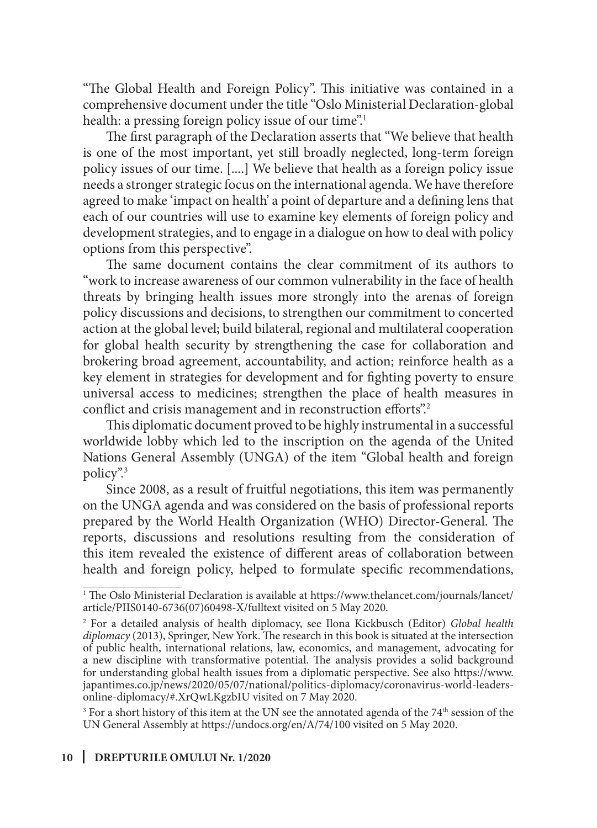"The Global Health and Foreign Policy". This initiative was contained in a comprehensive document under the title "Oslo Ministerial Declaration-global health: a pressing foreign policy issue of our time".<sup>1</sup>

The first paragraph of the Declaration asserts that "We believe that health is one of the most important, yet still broadly neglected, long-term foreign policy issues of our time. [....] We believe that health as a foreign policy issue needs a stronger strategic focus on the international agenda. We have therefore agreed to make 'impact on health' a point of departure and a defining lens that each of our countries will use to examine key elements of foreign policy and development strategies, and to engage in a dialogue on how to deal with policy options from this perspective".

The same document contains the clear commitment of its authors to "work to increase awareness of our common vulnerability in the face of health threats by bringing health issues more strongly into the arenas of foreign policy discussions and decisions, to strengthen our commitment to concerted action at the global level; build bilateral, regional and multilateral cooperation for global health security by strengthening the case for collaboration and brokering broad agreement, accountability, and action; reinforce health as a key element in strategies for development and for fighting poverty to ensure universal access to medicines; strengthen the place of health measures in conflict and crisis management and in reconstruction efforts".<sup>2</sup>

This diplomatic document proved to be highly instrumental in a successful worldwide lobby which led to the inscription on the agenda of the United Nations General Assembly (UNGA) of the item "Global health and foreign policy".3

Since 2008, as a result of fruitful negotiations, this item was permanently on the UNGA agenda and was considered on the basis of professional reports prepared by the World Health Organization (WHO) Director-General. The reports, discussions and resolutions resulting from the consideration of this item revealed the existence of different areas of collaboration between health and foreign policy, helped to formulate specific recommendations,

<sup>3</sup> For a short history of this item at the UN see the annotated agenda of the  $74<sup>th</sup>$  session of the UN General Assembly at https://undocs.org/en/A/74/100 visited on 5 May 2020.

<sup>1</sup> The Oslo Ministerial Declaration is available at https://www.thelancet.com/journals/lancet/ article/PIIS0140-6736(07)60498-X/fulltext visited on 5 May 2020.

<sup>2</sup> For a detailed analysis of health diplomacy, see Ilona Kickbusch (Editor) *Global health diplomacy* (2013), Springer, New York. The research in this book is situated at the intersection of public health, international relations, law, economics, and management, advocating for a new discipline with transformative potential. The analysis provides a solid background for understanding global health issues from a diplomatic perspective. See also https://www. japantimes.co.jp/news/2020/05/07/national/politics-diplomacy/coronavirus-world-leadersonline-diplomacy/#.XrQwLKgzbIU visited on 7 May 2020.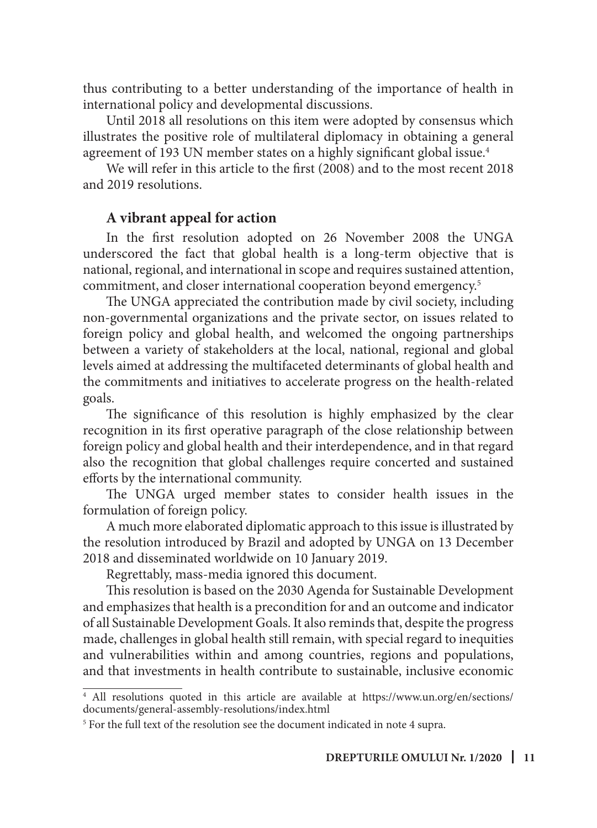thus contributing to a better understanding of the importance of health in international policy and developmental discussions.

Until 2018 all resolutions on this item were adopted by consensus which illustrates the positive role of multilateral diplomacy in obtaining a general agreement of 193 UN member states on a highly significant global issue.<sup>4</sup>

We will refer in this article to the first (2008) and to the most recent 2018 and 2019 resolutions.

#### **A vibrant appeal for action**

In the first resolution adopted on 26 November 2008 the UNGA underscored the fact that global health is a long-term objective that is national, regional, and international in scope and requires sustained attention, commitment, and closer international cooperation beyond emergency.5

The UNGA appreciated the contribution made by civil society, including non-governmental organizations and the private sector, on issues related to foreign policy and global health, and welcomed the ongoing partnerships between a variety of stakeholders at the local, national, regional and global levels aimed at addressing the multifaceted determinants of global health and the commitments and initiatives to accelerate progress on the health-related goals.

The significance of this resolution is highly emphasized by the clear recognition in its first operative paragraph of the close relationship between foreign policy and global health and their interdependence, and in that regard also the recognition that global challenges require concerted and sustained efforts by the international community.

The UNGA urged member states to consider health issues in the formulation of foreign policy.

A much more elaborated diplomatic approach to this issue is illustrated by the resolution introduced by Brazil and adopted by UNGA on 13 December 2018 and disseminated worldwide on 10 January 2019.

Regrettably, mass-media ignored this document.

This resolution is based on the 2030 Agenda for Sustainable Development and emphasizes that health is a precondition for and an outcome and indicator of all Sustainable Development Goals. It also reminds that, despite the progress made, challenges in global health still remain, with special regard to inequities and vulnerabilities within and among countries, regions and populations, and that investments in health contribute to sustainable, inclusive economic

<sup>4</sup> All resolutions quoted in this article are available at https://www.un.org/en/sections/ documents/general-assembly-resolutions/index.html

<sup>5</sup> For the full text of the resolution see the document indicated in note 4 supra.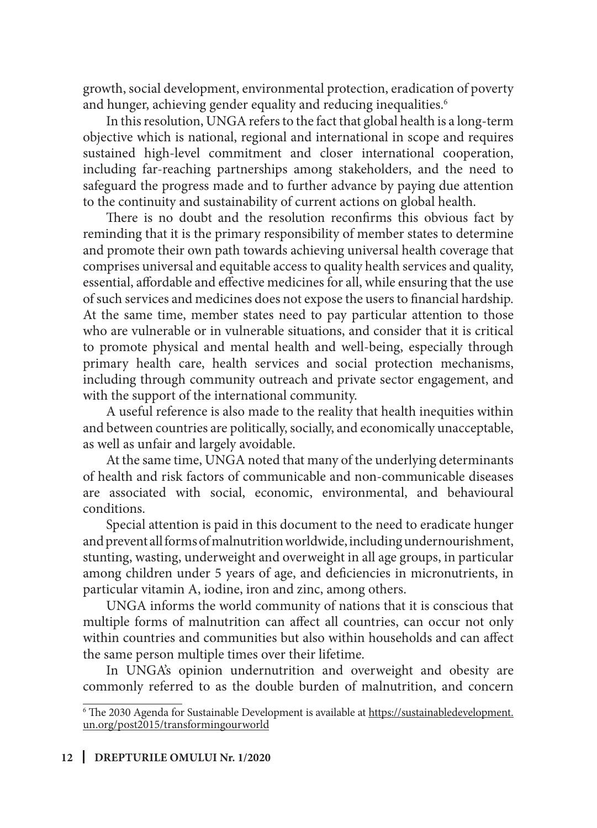growth, social development, environmental protection, eradication of poverty and hunger, achieving gender equality and reducing inequalities.<sup>6</sup>

In this resolution, UNGA refers to the fact that global health is a long-term objective which is national, regional and international in scope and requires sustained high-level commitment and closer international cooperation, including far-reaching partnerships among stakeholders, and the need to safeguard the progress made and to further advance by paying due attention to the continuity and sustainability of current actions on global health.

There is no doubt and the resolution reconfirms this obvious fact by reminding that it is the primary responsibility of member states to determine and promote their own path towards achieving universal health coverage that comprises universal and equitable access to quality health services and quality, essential, affordable and effective medicines for all, while ensuring that the use of such services and medicines does not expose the users to financial hardship. At the same time, member states need to pay particular attention to those who are vulnerable or in vulnerable situations, and consider that it is critical to promote physical and mental health and well-being, especially through primary health care, health services and social protection mechanisms, including through community outreach and private sector engagement, and with the support of the international community.

A useful reference is also made to the reality that health inequities within and between countries are politically, socially, and economically unacceptable, as well as unfair and largely avoidable.

At the same time, UNGA noted that many of the underlying determinants of health and risk factors of communicable and non-communicable diseases are associated with social, economic, environmental, and behavioural conditions.

Special attention is paid in this document to the need to eradicate hunger and prevent all forms of malnutrition worldwide, including undernourishment, stunting, wasting, underweight and overweight in all age groups, in particular among children under 5 years of age, and deficiencies in micronutrients, in particular vitamin A, iodine, iron and zinc, among others.

UNGA informs the world community of nations that it is conscious that multiple forms of malnutrition can affect all countries, can occur not only within countries and communities but also within households and can affect the same person multiple times over their lifetime.

In UNGA's opinion undernutrition and overweight and obesity are commonly referred to as the double burden of malnutrition, and concern

<sup>&</sup>lt;sup>6</sup> The 2030 Agenda for Sustainable Development is available at https://sustainabledevelopment. un.org/post2015/transformingourworld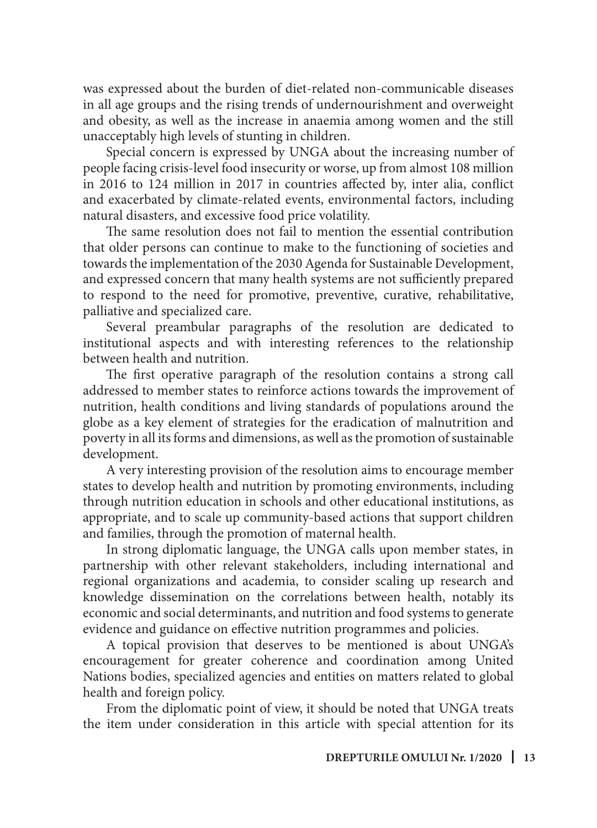was expressed about the burden of diet-related non-communicable diseases in all age groups and the rising trends of undernourishment and overweight and obesity, as well as the increase in anaemia among women and the still unacceptably high levels of stunting in children.

Special concern is expressed by UNGA about the increasing number of people facing crisis-level food insecurity or worse, up from almost 108 million in 2016 to 124 million in 2017 in countries affected by, inter alia, conflict and exacerbated by climate-related events, environmental factors, including natural disasters, and excessive food price volatility.

The same resolution does not fail to mention the essential contribution that older persons can continue to make to the functioning of societies and towards the implementation of the 2030 Agenda for Sustainable Development, and expressed concern that many health systems are not sufficiently prepared to respond to the need for promotive, preventive, curative, rehabilitative, palliative and specialized care.

Several preambular paragraphs of the resolution are dedicated to institutional aspects and with interesting references to the relationship between health and nutrition.

The first operative paragraph of the resolution contains a strong call addressed to member states to reinforce actions towards the improvement of nutrition, health conditions and living standards of populations around the globe as a key element of strategies for the eradication of malnutrition and poverty in all its forms and dimensions, as well as the promotion of sustainable development.

A very interesting provision of the resolution aims to encourage member states to develop health and nutrition by promoting environments, including through nutrition education in schools and other educational institutions, as appropriate, and to scale up community-based actions that support children and families, through the promotion of maternal health.

In strong diplomatic language, the UNGA calls upon member states, in partnership with other relevant stakeholders, including international and regional organizations and academia, to consider scaling up research and knowledge dissemination on the correlations between health, notably its economic and social determinants, and nutrition and food systems to generate evidence and guidance on effective nutrition programmes and policies.

A topical provision that deserves to be mentioned is about UNGA's encouragement for greater coherence and coordination among United Nations bodies, specialized agencies and entities on matters related to global health and foreign policy.

From the diplomatic point of view, it should be noted that UNGA treats the item under consideration in this article with special attention for its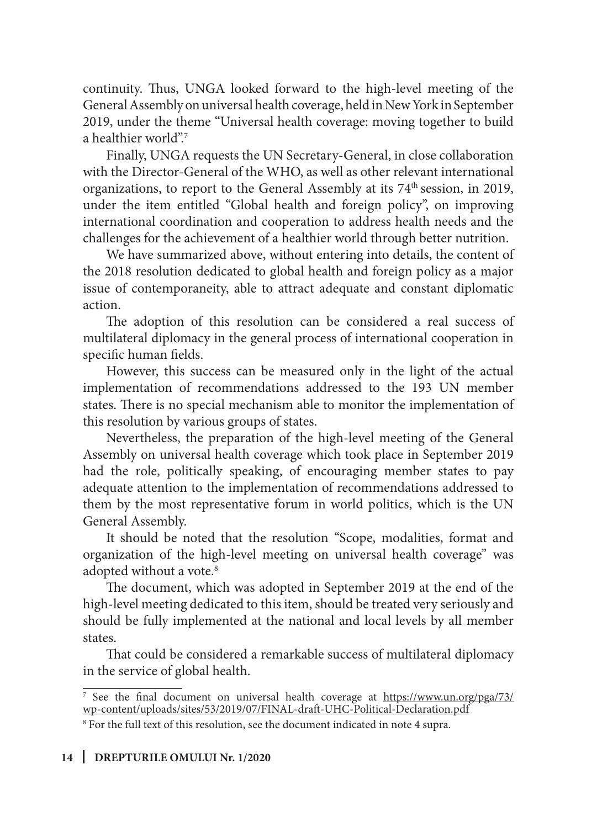continuity. Thus, UNGA looked forward to the high-level meeting of the General Assembly on universal health coverage, held in New York in September 2019, under the theme "Universal health coverage: moving together to build a healthier world".7

Finally, UNGA requests the UN Secretary-General, in close collaboration with the Director-General of the WHO, as well as other relevant international organizations, to report to the General Assembly at its 74<sup>th</sup> session, in 2019, under the item entitled "Global health and foreign policy", on improving international coordination and cooperation to address health needs and the challenges for the achievement of a healthier world through better nutrition.

We have summarized above, without entering into details, the content of the 2018 resolution dedicated to global health and foreign policy as a major issue of contemporaneity, able to attract adequate and constant diplomatic action.

The adoption of this resolution can be considered a real success of multilateral diplomacy in the general process of international cooperation in specific human fields.

However, this success can be measured only in the light of the actual implementation of recommendations addressed to the 193 UN member states. There is no special mechanism able to monitor the implementation of this resolution by various groups of states.

Nevertheless, the preparation of the high-level meeting of the General Assembly on universal health coverage which took place in September 2019 had the role, politically speaking, of encouraging member states to pay adequate attention to the implementation of recommendations addressed to them by the most representative forum in world politics, which is the UN General Assembly.

It should be noted that the resolution "Scope, modalities, format and organization of the high-level meeting on universal health coverage" was adopted without a vote.<sup>8</sup>

The document, which was adopted in September 2019 at the end of the high-level meeting dedicated to this item, should be treated very seriously and should be fully implemented at the national and local levels by all member states.

That could be considered a remarkable success of multilateral diplomacy in the service of global health.

<sup>7</sup> See the final document on universal health coverage at https://www.un.org/pga/73/ wp-content/uploads/sites/53/2019/07/FINAL-draft-UHC-Political-Declaration.pdf

<sup>8</sup> For the full text of this resolution, see the document indicated in note 4 supra.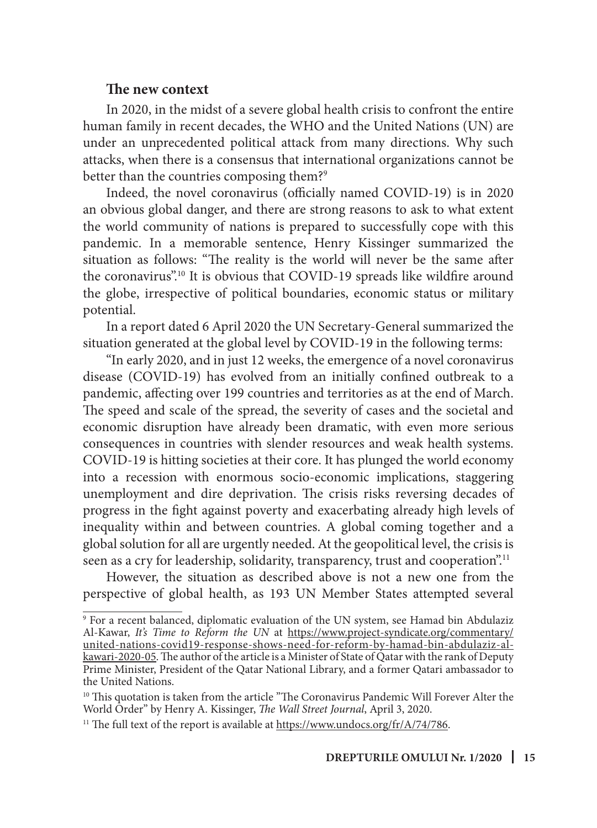#### **The new context**

In 2020, in the midst of a severe global health crisis to confront the entire human family in recent decades, the WHO and the United Nations (UN) are under an unprecedented political attack from many directions. Why such attacks, when there is a consensus that international organizations cannot be better than the countries composing them?<sup>9</sup>

Indeed, the novel coronavirus (officially named COVID-19) is in 2020 an obvious global danger, and there are strong reasons to ask to what extent the world community of nations is prepared to successfully cope with this pandemic. In a memorable sentence, Henry Kissinger summarized the situation as follows: "The reality is the world will never be the same after the coronavirus".10 It is obvious that COVID-19 spreads like wildfire around the globe, irrespective of political boundaries, economic status or military potential.

In a report dated 6 April 2020 the UN Secretary-General summarized the situation generated at the global level by COVID-19 in the following terms:

"In early 2020, and in just 12 weeks, the emergence of a novel coronavirus disease (COVID-19) has evolved from an initially confined outbreak to a pandemic, affecting over 199 countries and territories as at the end of March. The speed and scale of the spread, the severity of cases and the societal and economic disruption have already been dramatic, with even more serious consequences in countries with slender resources and weak health systems. COVID-19 is hitting societies at their core. It has plunged the world economy into a recession with enormous socio-economic implications, staggering unemployment and dire deprivation. The crisis risks reversing decades of progress in the fight against poverty and exacerbating already high levels of inequality within and between countries. A global coming together and a global solution for all are urgently needed. At the geopolitical level, the crisis is seen as a cry for leadership, solidarity, transparency, trust and cooperation".<sup>11</sup>

However, the situation as described above is not a new one from the perspective of global health, as 193 UN Member States attempted several

<sup>9</sup> For a recent balanced, diplomatic evaluation of the UN system, see Hamad bin Abdulaziz Al-Kawar, *It's Time to Reform the UN* at https://www.project-syndicate.org/commentary/ united-nations-covid19-response-shows-need-for-reform-by-hamad-bin-abdulaziz-alkawari-2020-05. The author of the article is a Minister of State of Qatar with the rank of Deputy Prime Minister, President of the Qatar National Library, and a former Qatari ambassador to the United Nations.

 $10$  This quotation is taken from the article "The Coronavirus Pandemic Will Forever Alter the World Order" by Henry A. Kissinger, *The Wall Street Journal*, April 3, 2020.

<sup>&</sup>lt;sup>11</sup> The full text of the report is available at https://www.undocs.org/fr/A/74/786.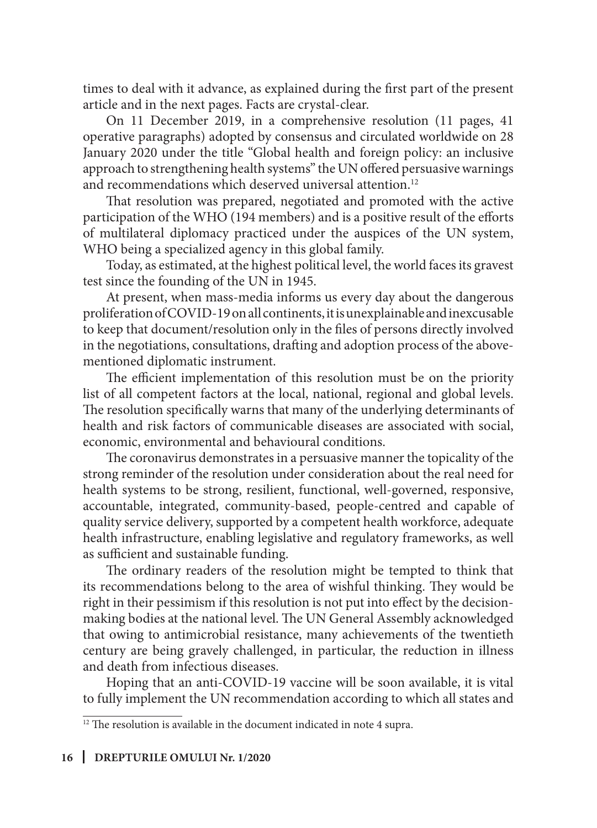times to deal with it advance, as explained during the first part of the present article and in the next pages. Facts are crystal-clear.

On 11 December 2019, in a comprehensive resolution (11 pages, 41 operative paragraphs) adopted by consensus and circulated worldwide on 28 January 2020 under the title "Global health and foreign policy: an inclusive approach to strengthening health systems" the UN offered persuasive warnings and recommendations which deserved universal attention.<sup>12</sup>

That resolution was prepared, negotiated and promoted with the active participation of the WHO (194 members) and is a positive result of the efforts of multilateral diplomacy practiced under the auspices of the UN system, WHO being a specialized agency in this global family.

Today, as estimated, at the highest political level, the world faces its gravest test since the founding of the UN in 1945.

At present, when mass-media informs us every day about the dangerous proliferation of COVID-19 on all continents, it is unexplainable and inexcusable to keep that document/resolution only in the files of persons directly involved in the negotiations, consultations, drafting and adoption process of the abovementioned diplomatic instrument.

The efficient implementation of this resolution must be on the priority list of all competent factors at the local, national, regional and global levels. The resolution specifically warns that many of the underlying determinants of health and risk factors of communicable diseases are associated with social, economic, environmental and behavioural conditions.

The coronavirus demonstrates in a persuasive manner the topicality of the strong reminder of the resolution under consideration about the real need for health systems to be strong, resilient, functional, well-governed, responsive, accountable, integrated, community-based, people-centred and capable of quality service delivery, supported by a competent health workforce, adequate health infrastructure, enabling legislative and regulatory frameworks, as well as sufficient and sustainable funding.

The ordinary readers of the resolution might be tempted to think that its recommendations belong to the area of wishful thinking. They would be right in their pessimism if this resolution is not put into effect by the decisionmaking bodies at the national level. The UN General Assembly acknowledged that owing to antimicrobial resistance, many achievements of the twentieth century are being gravely challenged, in particular, the reduction in illness and death from infectious diseases.

Hoping that an anti-COVID-19 vaccine will be soon available, it is vital to fully implement the UN recommendation according to which all states and

<sup>&</sup>lt;sup>12</sup> The resolution is available in the document indicated in note 4 supra.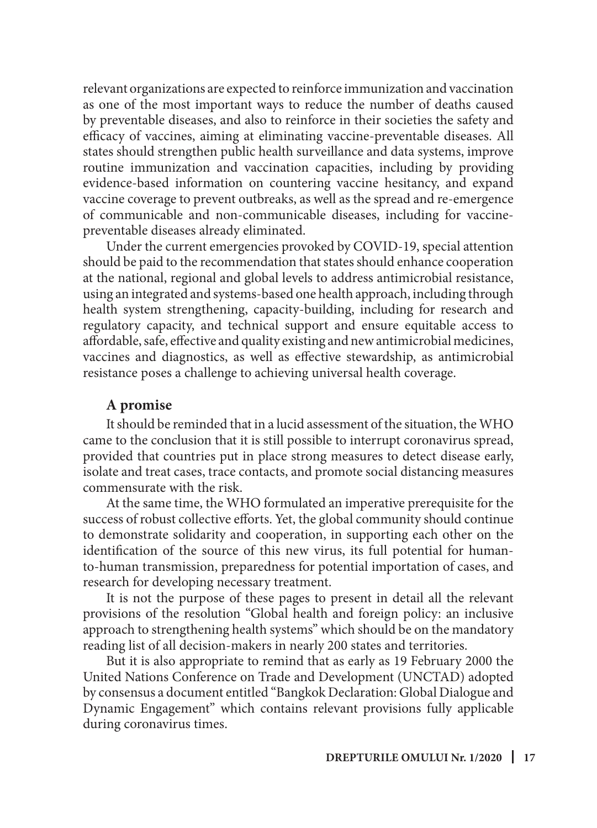relevant organizations are expected to reinforce immunization and vaccination as one of the most important ways to reduce the number of deaths caused by preventable diseases, and also to reinforce in their societies the safety and efficacy of vaccines, aiming at eliminating vaccine-preventable diseases. All states should strengthen public health surveillance and data systems, improve routine immunization and vaccination capacities, including by providing evidence-based information on countering vaccine hesitancy, and expand vaccine coverage to prevent outbreaks, as well as the spread and re-emergence of communicable and non-communicable diseases, including for vaccinepreventable diseases already eliminated.

Under the current emergencies provoked by COVID-19, special attention should be paid to the recommendation that states should enhance cooperation at the national, regional and global levels to address antimicrobial resistance, using an integrated and systems-based one health approach, including through health system strengthening, capacity-building, including for research and regulatory capacity, and technical support and ensure equitable access to affordable, safe, effective and quality existing and new antimicrobial medicines, vaccines and diagnostics, as well as effective stewardship, as antimicrobial resistance poses a challenge to achieving universal health coverage.

### **A promise**

It should be reminded that in a lucid assessment of the situation, the WHO came to the conclusion that it is still possible to interrupt coronavirus spread, provided that countries put in place strong measures to detect disease early, isolate and treat cases, trace contacts, and promote social distancing measures commensurate with the risk.

At the same time, the WHO formulated an imperative prerequisite for the success of robust collective efforts. Yet, the global community should continue to demonstrate solidarity and cooperation, in supporting each other on the identification of the source of this new virus, its full potential for humanto-human transmission, preparedness for potential importation of cases, and research for developing necessary treatment.

It is not the purpose of these pages to present in detail all the relevant provisions of the resolution "Global health and foreign policy: an inclusive approach to strengthening health systems" which should be on the mandatory reading list of all decision-makers in nearly 200 states and territories.

But it is also appropriate to remind that as early as 19 February 2000 the United Nations Conference on Trade and Development (UNCTAD) adopted by consensus a document entitled "Bangkok Declaration: Global Dialogue and Dynamic Engagement" which contains relevant provisions fully applicable during coronavirus times.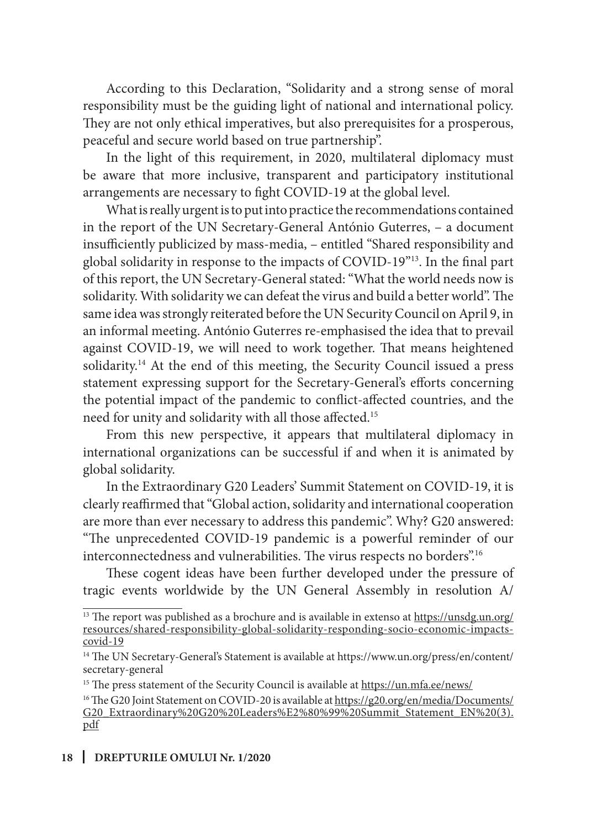According to this Declaration, "Solidarity and a strong sense of moral responsibility must be the guiding light of national and international policy. They are not only ethical imperatives, but also prerequisites for a prosperous, peaceful and secure world based on true partnership".

In the light of this requirement, in 2020, multilateral diplomacy must be aware that more inclusive, transparent and participatory institutional arrangements are necessary to fight COVID-19 at the global level.

What is really urgent is to put into practice the recommendations contained in the report of the UN Secretary-General António Guterres, – a document insufficiently publicized by mass-media, – entitled "Shared responsibility and global solidarity in response to the impacts of COVID-19"13. In the final part of this report, the UN Secretary-General stated: "What the world needs now is solidarity. With solidarity we can defeat the virus and build a better world". The same idea was strongly reiterated before the UN Security Council on April 9, in an informal meeting. António Guterres re-emphasised the idea that to prevail against COVID-19, we will need to work together. That means heightened solidarity.<sup>14</sup> At the end of this meeting, the Security Council issued a press statement expressing support for the Secretary-General's efforts concerning the potential impact of the pandemic to conflict-affected countries, and the need for unity and solidarity with all those affected.15

From this new perspective, it appears that multilateral diplomacy in international organizations can be successful if and when it is animated by global solidarity.

In the Extraordinary G20 Leaders' Summit Statement on COVID-19, it is clearly reaffirmed that "Global action, solidarity and international cooperation are more than ever necessary to address this pandemic". Why? G20 answered: "The unprecedented COVID-19 pandemic is a powerful reminder of our interconnectedness and vulnerabilities. The virus respects no borders".<sup>16</sup>

These cogent ideas have been further developed under the pressure of tragic events worldwide by the UN General Assembly in resolution A/

<sup>&</sup>lt;sup>13</sup> The report was published as a brochure and is available in extenso at https://unsdg.un.org/ resources/shared-responsibility-global-solidarity-responding-socio-economic-impactscovid-19

<sup>14</sup> The UN Secretary-General's Statement is available at https://www.un.org/press/en/content/ secretary-general

<sup>&</sup>lt;sup>15</sup> The press statement of the Security Council is available at https://un.mfa.ee/news/

<sup>&</sup>lt;sup>16</sup>The G20 Joint Statement on COVID-20 is available at https://g20.org/en/media/Documents/ G20\_Extraordinary%20G20%20Leaders%E2%80%99%20Summit\_Statement\_EN%20(3). pdf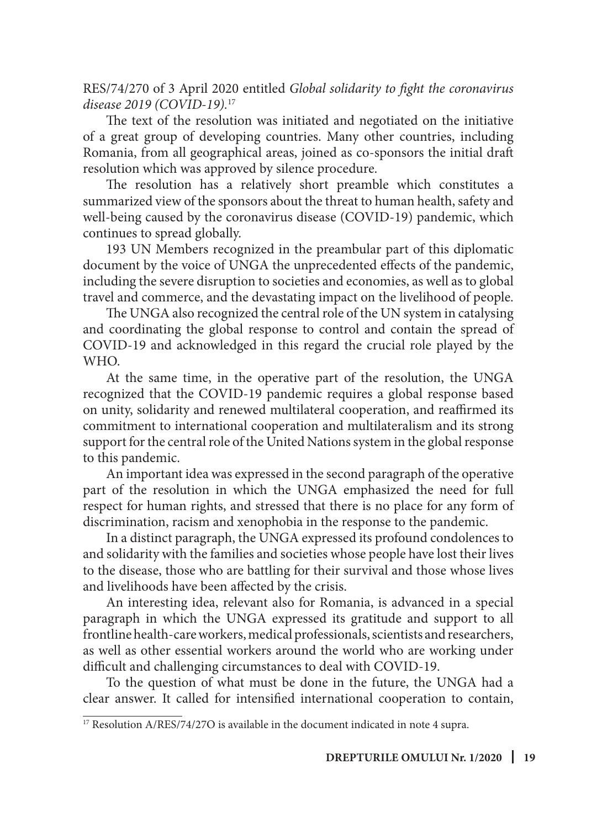RES/74/270 of 3 April 2020 entitled *Global solidarity to fight the coronavirus disease 2019 (COVID-19).*<sup>17</sup>

The text of the resolution was initiated and negotiated on the initiative of a great group of developing countries. Many other countries, including Romania, from all geographical areas, joined as co-sponsors the initial draft resolution which was approved by silence procedure.

The resolution has a relatively short preamble which constitutes a summarized view of the sponsors about the threat to human health, safety and well-being caused by the coronavirus disease (COVID-19) pandemic, which continues to spread globally.

193 UN Members recognized in the preambular part of this diplomatic document by the voice of UNGA the unprecedented effects of the pandemic, including the severe disruption to societies and economies, as well as to global travel and commerce, and the devastating impact on the livelihood of people.

The UNGA also recognized the central role of the UN system in catalysing and coordinating the global response to control and contain the spread of COVID-19 and acknowledged in this regard the crucial role played by the WHO.

At the same time, in the operative part of the resolution, the UNGA recognized that the COVID-19 pandemic requires a global response based on unity, solidarity and renewed multilateral cooperation, and reaffirmed its commitment to international cooperation and multilateralism and its strong support for the central role of the United Nations system in the global response to this pandemic.

An important idea was expressed in the second paragraph of the operative part of the resolution in which the UNGA emphasized the need for full respect for human rights, and stressed that there is no place for any form of discrimination, racism and xenophobia in the response to the pandemic.

In a distinct paragraph, the UNGA expressed its profound condolences to and solidarity with the families and societies whose people have lost their lives to the disease, those who are battling for their survival and those whose lives and livelihoods have been affected by the crisis.

An interesting idea, relevant also for Romania, is advanced in a special paragraph in which the UNGA expressed its gratitude and support to all frontline health-care workers, medical professionals, scientists and researchers, as well as other essential workers around the world who are working under difficult and challenging circumstances to deal with COVID-19.

To the question of what must be done in the future, the UNGA had a clear answer. It called for intensified international cooperation to contain,

<sup>&</sup>lt;sup>17</sup> Resolution A/RES/74/27O is available in the document indicated in note 4 supra.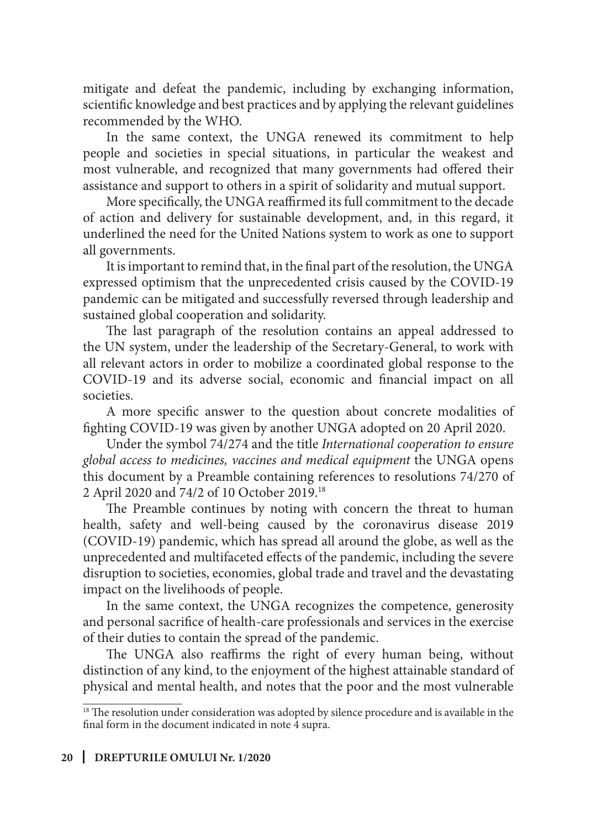mitigate and defeat the pandemic, including by exchanging information, scientific knowledge and best practices and by applying the relevant guidelines recommended by the WHO.

In the same context, the UNGA renewed its commitment to help people and societies in special situations, in particular the weakest and most vulnerable, and recognized that many governments had offered their assistance and support to others in a spirit of solidarity and mutual support.

More specifically, the UNGA reaffirmed its full commitment to the decade of action and delivery for sustainable development, and, in this regard, it underlined the need for the United Nations system to work as one to support all governments.

It is important to remind that, in the final part of the resolution, the UNGA expressed optimism that the unprecedented crisis caused by the COVID-19 pandemic can be mitigated and successfully reversed through leadership and sustained global cooperation and solidarity.

The last paragraph of the resolution contains an appeal addressed to the UN system, under the leadership of the Secretary-General, to work with all relevant actors in order to mobilize a coordinated global response to the COVID-19 and its adverse social, economic and financial impact on all societies.

A more specific answer to the question about concrete modalities of fighting COVID-19 was given by another UNGA adopted on 20 April 2020.

Under the symbol 74/274 and the title *International cooperation to ensure global access to medicines, vaccines and medical equipment* the UNGA opens this document by a Preamble containing references to resolutions 74/270 of 2 April 2020 and 74/2 of 10 October 2019.18

The Preamble continues by noting with concern the threat to human health, safety and well-being caused by the coronavirus disease 2019 (COVID-19) pandemic, which has spread all around the globe, as well as the unprecedented and multifaceted effects of the pandemic, including the severe disruption to societies, economies, global trade and travel and the devastating impact on the livelihoods of people.

In the same context, the UNGA recognizes the competence, generosity and personal sacrifice of health-care professionals and services in the exercise of their duties to contain the spread of the pandemic.

The UNGA also reaffirms the right of every human being, without distinction of any kind, to the enjoyment of the highest attainable standard of physical and mental health, and notes that the poor and the most vulnerable

<sup>&</sup>lt;sup>18</sup> The resolution under consideration was adopted by silence procedure and is available in the final form in the document indicated in note 4 supra.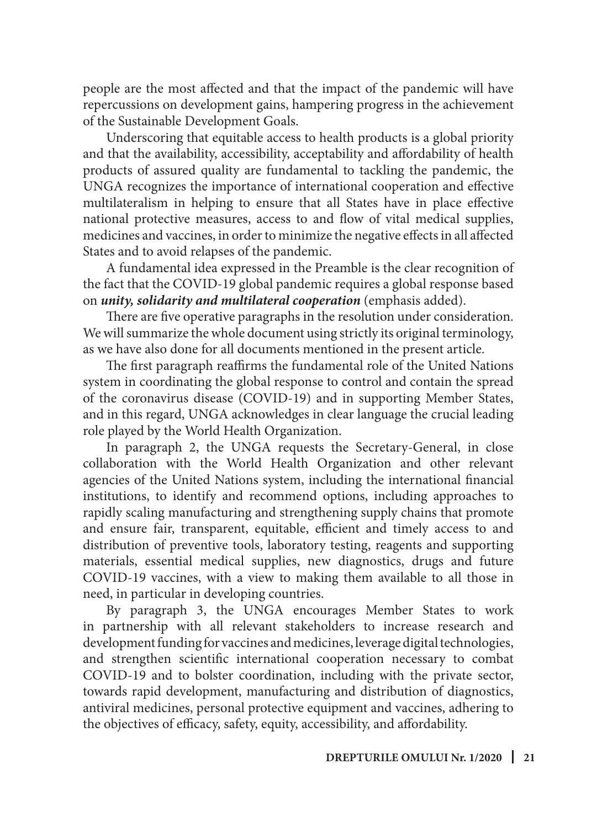people are the most affected and that the impact of the pandemic will have repercussions on development gains, hampering progress in the achievement of the Sustainable Development Goals.

Underscoring that equitable access to health products is a global priority and that the availability, accessibility, acceptability and affordability of health products of assured quality are fundamental to tackling the pandemic, the UNGA recognizes the importance of international cooperation and effective multilateralism in helping to ensure that all States have in place effective national protective measures, access to and flow of vital medical supplies, medicines and vaccines, in order to minimize the negative effects in all affected States and to avoid relapses of the pandemic.

A fundamental idea expressed in the Preamble is the clear recognition of the fact that the COVID-19 global pandemic requires a global response based on *unity, solidarity and multilateral cooperation* (emphasis added).

There are five operative paragraphs in the resolution under consideration. We will summarize the whole document using strictly its original terminology, as we have also done for all documents mentioned in the present article.

The first paragraph reaffirms the fundamental role of the United Nations system in coordinating the global response to control and contain the spread of the coronavirus disease (COVID-19) and in supporting Member States, and in this regard, UNGA acknowledges in clear language the crucial leading role played by the World Health Organization.

In paragraph 2, the UNGA requests the Secretary-General, in close collaboration with the World Health Organization and other relevant agencies of the United Nations system, including the international financial institutions, to identify and recommend options, including approaches to rapidly scaling manufacturing and strengthening supply chains that promote and ensure fair, transparent, equitable, efficient and timely access to and distribution of preventive tools, laboratory testing, reagents and supporting materials, essential medical supplies, new diagnostics, drugs and future COVID-19 vaccines, with a view to making them available to all those in need, in particular in developing countries.

By paragraph 3, the UNGA encourages Member States to work in partnership with all relevant stakeholders to increase research and development funding for vaccines and medicines, leverage digital technologies, and strengthen scientific international cooperation necessary to combat COVID-19 and to bolster coordination, including with the private sector, towards rapid development, manufacturing and distribution of diagnostics, antiviral medicines, personal protective equipment and vaccines, adhering to the objectives of efficacy, safety, equity, accessibility, and affordability.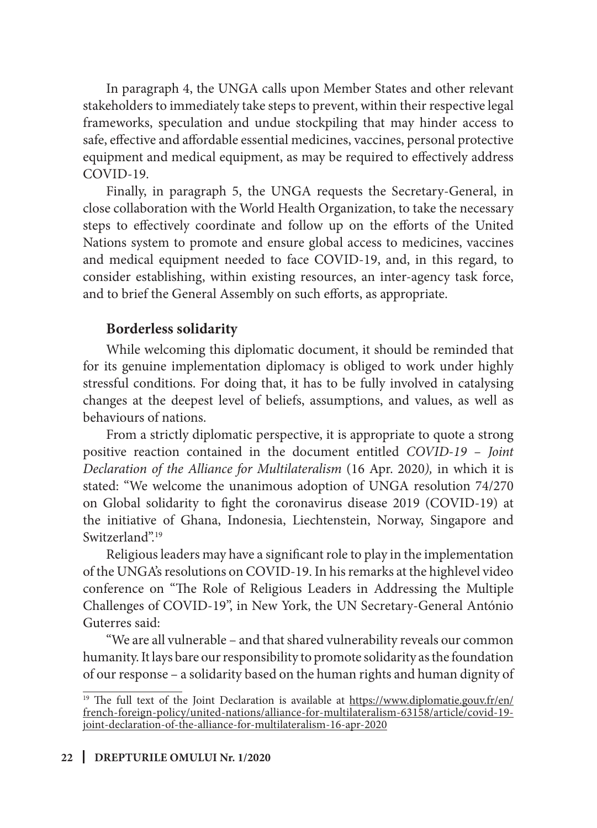In paragraph 4, the UNGA calls upon Member States and other relevant stakeholders to immediately take steps to prevent, within their respective legal frameworks, speculation and undue stockpiling that may hinder access to safe, effective and affordable essential medicines, vaccines, personal protective equipment and medical equipment, as may be required to effectively address COVID-19.

Finally, in paragraph 5, the UNGA requests the Secretary-General, in close collaboration with the World Health Organization, to take the necessary steps to effectively coordinate and follow up on the efforts of the United Nations system to promote and ensure global access to medicines, vaccines and medical equipment needed to face COVID-19, and, in this regard, to consider establishing, within existing resources, an inter-agency task force, and to brief the General Assembly on such efforts, as appropriate.

### **Borderless solidarity**

While welcoming this diplomatic document, it should be reminded that for its genuine implementation diplomacy is obliged to work under highly stressful conditions. For doing that, it has to be fully involved in catalysing changes at the deepest level of beliefs, assumptions, and values, as well as behaviours of nations.

From a strictly diplomatic perspective, it is appropriate to quote a strong positive reaction contained in the document entitled *COVID-19 – Joint Declaration of the Alliance for Multilateralism* (16 Apr. 2020*),* in which it is stated: "We welcome the unanimous adoption of UNGA resolution 74/270 on Global solidarity to fight the coronavirus disease 2019 (COVID-19) at the initiative of Ghana, Indonesia, Liechtenstein, Norway, Singapore and Switzerland".<sup>19</sup>

Religious leaders may have a significant role to play in the implementation of the UNGA's resolutions on COVID-19. In his remarks at the highlevel video conference on "The Role of Religious Leaders in Addressing the Multiple Challenges of COVID-19", in New York, the UN Secretary-General António Guterres said:

"We are all vulnerable – and that shared vulnerability reveals our common humanity. It lays bare our responsibility to promote solidarity as the foundation of our response – a solidarity based on the human rights and human dignity of

<sup>&</sup>lt;sup>19</sup> The full text of the Joint Declaration is available at https://www.diplomatie.gouv.fr/en/ french-foreign-policy/united-nations/alliance-for-multilateralism-63158/article/covid-19 joint-declaration-of-the-alliance-for-multilateralism-16-apr-2020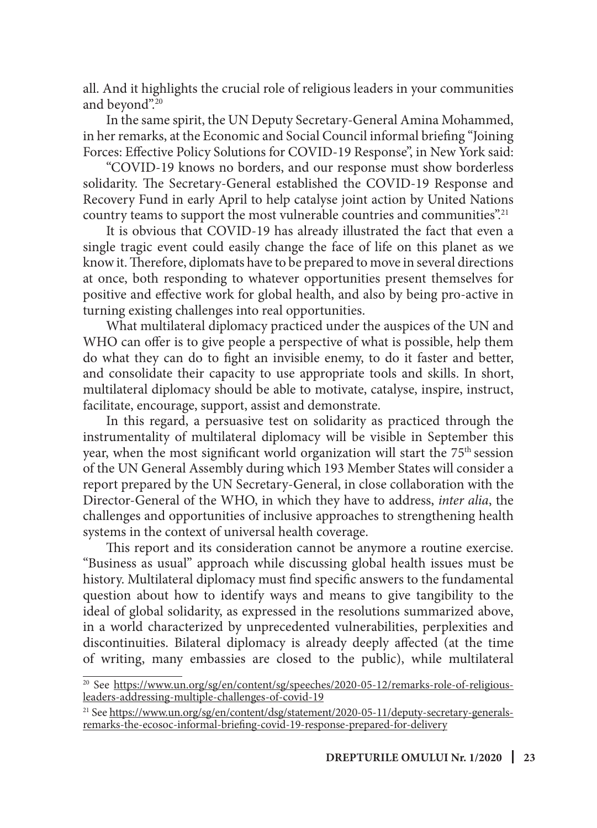all. And it highlights the crucial role of religious leaders in your communities and beyond".20

In the same spirit, the UN Deputy Secretary-General Amina Mohammed, in her remarks, at the Economic and Social Council informal briefing "Joining Forces: Effective Policy Solutions for COVID-19 Response", in New York said:

"COVID-19 knows no borders, and our response must show borderless solidarity. The Secretary-General established the COVID-19 Response and Recovery Fund in early April to help catalyse joint action by United Nations country teams to support the most vulnerable countries and communities".<sup>21</sup>

It is obvious that COVID-19 has already illustrated the fact that even a single tragic event could easily change the face of life on this planet as we know it. Therefore, diplomats have to be prepared to move in several directions at once, both responding to whatever opportunities present themselves for positive and effective work for global health, and also by being pro-active in turning existing challenges into real opportunities.

What multilateral diplomacy practiced under the auspices of the UN and WHO can offer is to give people a perspective of what is possible, help them do what they can do to fight an invisible enemy, to do it faster and better, and consolidate their capacity to use appropriate tools and skills. In short, multilateral diplomacy should be able to motivate, catalyse, inspire, instruct, facilitate, encourage, support, assist and demonstrate.

In this regard, a persuasive test on solidarity as practiced through the instrumentality of multilateral diplomacy will be visible in September this year, when the most significant world organization will start the  $75<sup>th</sup>$  session of the UN General Assembly during which 193 Member States will consider a report prepared by the UN Secretary-General, in close collaboration with the Director-General of the WHO, in which they have to address, *inter alia*, the challenges and opportunities of inclusive approaches to strengthening health systems in the context of universal health coverage.

This report and its consideration cannot be anymore a routine exercise. "Business as usual" approach while discussing global health issues must be history. Multilateral diplomacy must find specific answers to the fundamental question about how to identify ways and means to give tangibility to the ideal of global solidarity, as expressed in the resolutions summarized above, in a world characterized by unprecedented vulnerabilities, perplexities and discontinuities. Bilateral diplomacy is already deeply affected (at the time of writing, many embassies are closed to the public), while multilateral

<sup>&</sup>lt;sup>20</sup> See https://www.un.org/sg/en/content/sg/speeches/2020-05-12/remarks-role-of-religiousleaders-addressing-multiple-challenges-of-covid-19

<sup>&</sup>lt;sup>21</sup> See https://www.un.org/sg/en/content/dsg/statement/2020-05-11/deputy-secretary-generalsremarks-the-ecosoc-informal-briefing-covid-19-response-prepared-for-delivery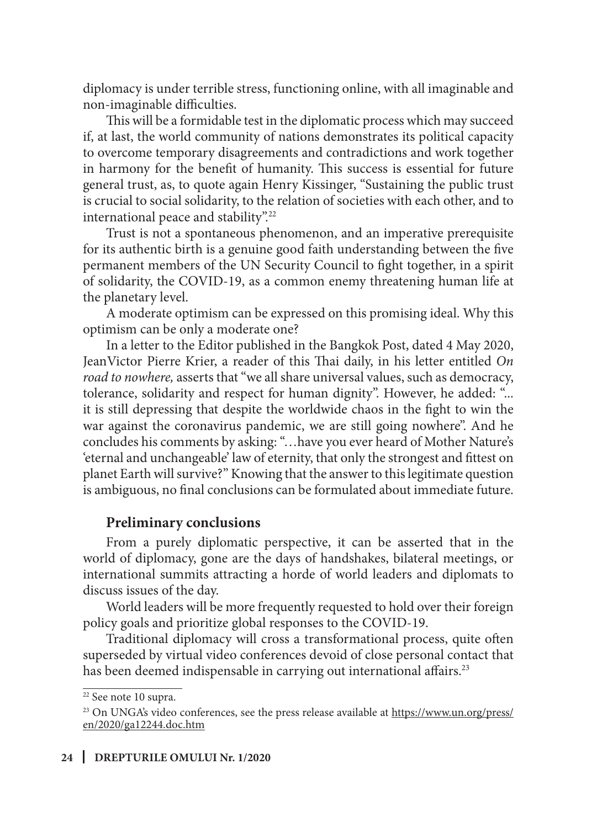diplomacy is under terrible stress, functioning online, with all imaginable and non-imaginable difficulties.

This will be a formidable test in the diplomatic process which may succeed if, at last, the world community of nations demonstrates its political capacity to overcome temporary disagreements and contradictions and work together in harmony for the benefit of humanity. This success is essential for future general trust, as, to quote again Henry Kissinger, "Sustaining the public trust is crucial to social solidarity, to the relation of societies with each other, and to international peace and stability".22

Trust is not a spontaneous phenomenon, and an imperative prerequisite for its authentic birth is a genuine good faith understanding between the five permanent members of the UN Security Council to fight together, in a spirit of solidarity, the COVID-19, as a common enemy threatening human life at the planetary level.

A moderate optimism can be expressed on this promising ideal. Why this optimism can be only a moderate one?

In a letter to the Editor published in the Bangkok Post, dated 4 May 2020, JeanVictor Pierre Krier, a reader of this Thai daily, in his letter entitled *On road to nowhere,* asserts that "we all share universal values, such as democracy, tolerance, solidarity and respect for human dignity". However, he added: "... it is still depressing that despite the worldwide chaos in the fight to win the war against the coronavirus pandemic, we are still going nowhere". And he concludes his comments by asking: "…have you ever heard of Mother Nature's 'eternal and unchangeable' law of eternity, that only the strongest and fittest on planet Earth will survive?" Knowing that the answer to this legitimate question is ambiguous, no final conclusions can be formulated about immediate future.

#### **Preliminary conclusions**

From a purely diplomatic perspective, it can be asserted that in the world of diplomacy, gone are the days of handshakes, bilateral meetings, or international summits attracting a horde of world leaders and diplomats to discuss issues of the day.

World leaders will be more frequently requested to hold over their foreign policy goals and prioritize global responses to the COVID-19.

Traditional diplomacy will cross a transformational process, quite often superseded by virtual video conferences devoid of close personal contact that has been deemed indispensable in carrying out international affairs.<sup>23</sup>

<sup>22</sup> See note 10 supra.

<sup>&</sup>lt;sup>23</sup> On UNGA's video conferences, see the press release available at https://www.un.org/press/ en/2020/ga12244.doc.htm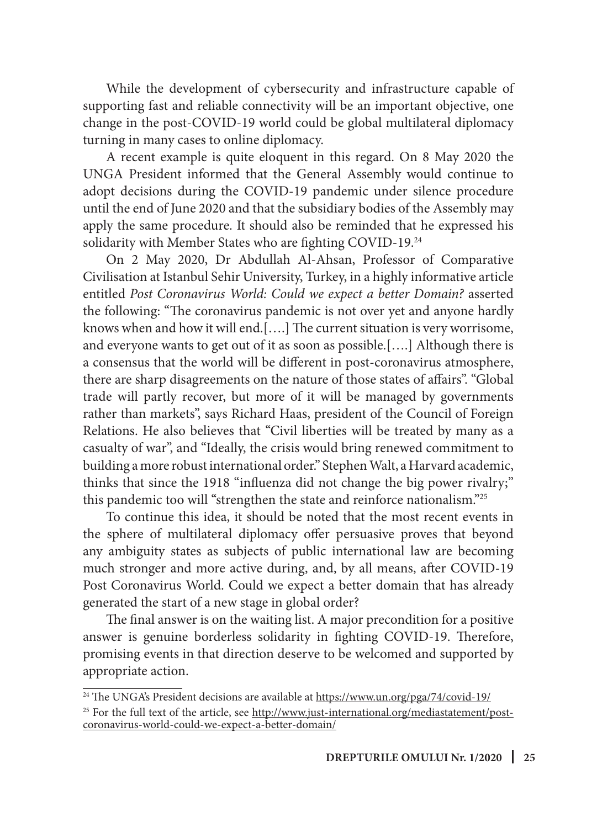While the development of cybersecurity and infrastructure capable of supporting fast and reliable connectivity will be an important objective, one change in the post-COVID-19 world could be global multilateral diplomacy turning in many cases to online diplomacy.

A recent example is quite eloquent in this regard. On 8 May 2020 the UNGA President informed that the General Assembly would continue to adopt decisions during the COVID-19 pandemic under silence procedure until the end of June 2020 and that the subsidiary bodies of the Assembly may apply the same procedure. It should also be reminded that he expressed his solidarity with Member States who are fighting COVID-19.<sup>24</sup>

On 2 May 2020, Dr Abdullah Al-Ahsan, Professor of Comparative Civilisation at Istanbul Sehir University, Turkey, in a highly informative article entitled *Post Coronavirus World: Could we expect a better Domain?* asserted the following: "The coronavirus pandemic is not over yet and anyone hardly knows when and how it will end.[….] The current situation is very worrisome, and everyone wants to get out of it as soon as possible.[….] Although there is a consensus that the world will be different in post-coronavirus atmosphere, there are sharp disagreements on the nature of those states of affairs". "Global trade will partly recover, but more of it will be managed by governments rather than markets", says Richard Haas, president of the Council of Foreign Relations. He also believes that "Civil liberties will be treated by many as a casualty of war", and "Ideally, the crisis would bring renewed commitment to building a more robust international order." Stephen Walt, a Harvard academic, thinks that since the 1918 "influenza did not change the big power rivalry;" this pandemic too will "strengthen the state and reinforce nationalism."25

To continue this idea, it should be noted that the most recent events in the sphere of multilateral diplomacy offer persuasive proves that beyond any ambiguity states as subjects of public international law are becoming much stronger and more active during, and, by all means, after COVID-19 Post Coronavirus World. Could we expect a better domain that has already generated the start of a new stage in global order?

The final answer is on the waiting list. A major precondition for a positive answer is genuine borderless solidarity in fighting COVID-19. Therefore, promising events in that direction deserve to be welcomed and supported by appropriate action.

<sup>&</sup>lt;sup>24</sup> The UNGA's President decisions are available at https://www.un.org/pga/74/covid-19/

<sup>&</sup>lt;sup>25</sup> For the full text of the article, see http://www.just-international.org/mediastatement/postcoronavirus-world-could-we-expect-a-better-domain/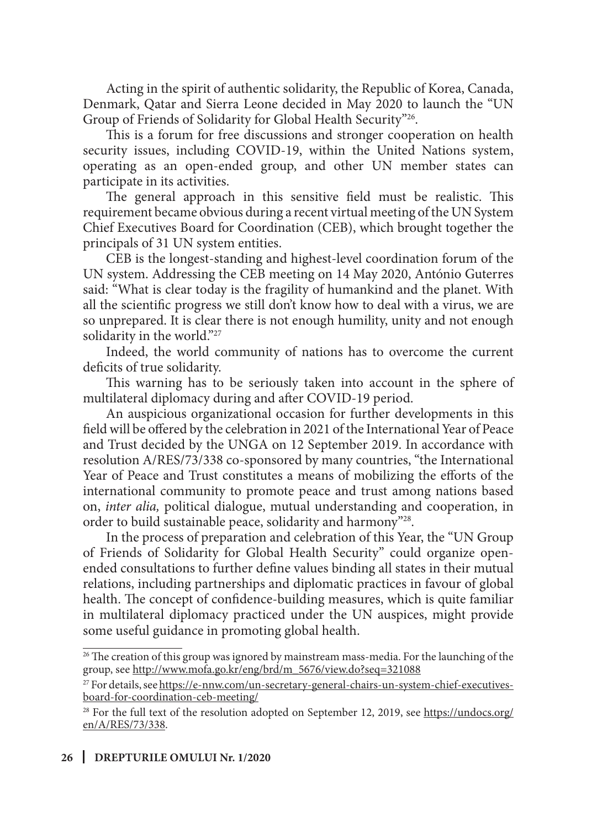Acting in the spirit of authentic solidarity, the Republic of Korea, Canada, Denmark, Qatar and Sierra Leone decided in May 2020 to launch the "UN Group of Friends of Solidarity for Global Health Security"26.

This is a forum for free discussions and stronger cooperation on health security issues, including COVID-19, within the United Nations system, operating as an open-ended group, and other UN member states can participate in its activities.

The general approach in this sensitive field must be realistic. This requirement became obvious during a recent virtual meeting of the UN System Chief Executives Board for Coordination (CEB), which brought together the principals of 31 UN system entities.

CEB is the longest-standing and highest-level coordination forum of the UN system. Addressing the CEB meeting on 14 May 2020, António Guterres said: "What is clear today is the fragility of humankind and the planet. With all the scientific progress we still don't know how to deal with a virus, we are so unprepared. It is clear there is not enough humility, unity and not enough solidarity in the world."<sup>27</sup>

Indeed, the world community of nations has to overcome the current deficits of true solidarity.

This warning has to be seriously taken into account in the sphere of multilateral diplomacy during and after COVID-19 period.

An auspicious organizational occasion for further developments in this field will be offered by the celebration in 2021 of the International Year of Peace and Trust decided by the UNGA on 12 September 2019. In accordance with resolution A/RES/73/338 co-sponsored by many countries, "the International Year of Peace and Trust constitutes a means of mobilizing the efforts of the international community to promote peace and trust among nations based on, *inter alia,* political dialogue, mutual understanding and cooperation, in order to build sustainable peace, solidarity and harmony"28.

In the process of preparation and celebration of this Year, the "UN Group of Friends of Solidarity for Global Health Security" could organize openended consultations to further define values binding all states in their mutual relations, including partnerships and diplomatic practices in favour of global health. The concept of confidence-building measures, which is quite familiar in multilateral diplomacy practiced under the UN auspices, might provide some useful guidance in promoting global health.

<sup>&</sup>lt;sup>26</sup> The creation of this group was ignored by mainstream mass-media. For the launching of the group, see http://www.mofa.go.kr/eng/brd/m\_5676/view.do?seq=321088

<sup>&</sup>lt;sup>27</sup> For details, see https://e-nnw.com/un-secretary-general-chairs-un-system-chief-executivesboard-for-coordination-ceb-meeting/

<sup>&</sup>lt;sup>28</sup> For the full text of the resolution adopted on September 12, 2019, see https://undocs.org/ en/A/RES/73/338.